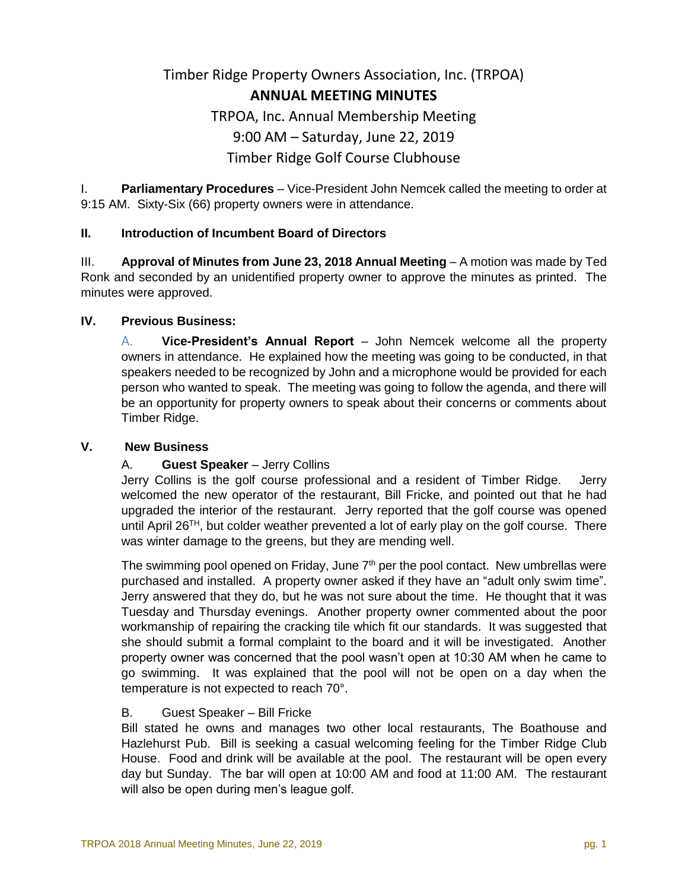# Timber Ridge Property Owners Association, Inc. (TRPOA) **ANNUAL MEETING MINUTES** TRPOA, Inc. Annual Membership Meeting 9:00 AM – Saturday, June 22, 2019 Timber Ridge Golf Course Clubhouse

I. **Parliamentary Procedures** – Vice-President John Nemcek called the meeting to order at 9:15 AM. Sixty-Six (66) property owners were in attendance.

## **II. Introduction of Incumbent Board of Directors**

III. **Approval of Minutes from June 23, 2018 Annual Meeting** – A motion was made by Ted Ronk and seconded by an unidentified property owner to approve the minutes as printed. The minutes were approved.

#### **IV. Previous Business:**

A. **Vice-President's Annual Report** – John Nemcek welcome all the property owners in attendance. He explained how the meeting was going to be conducted, in that speakers needed to be recognized by John and a microphone would be provided for each person who wanted to speak. The meeting was going to follow the agenda, and there will be an opportunity for property owners to speak about their concerns or comments about Timber Ridge.

#### **V. New Business**

## A. **Guest Speaker** – Jerry Collins

Jerry Collins is the golf course professional and a resident of Timber Ridge. Jerry welcomed the new operator of the restaurant, Bill Fricke, and pointed out that he had upgraded the interior of the restaurant. Jerry reported that the golf course was opened until April 26<sup>TH</sup>, but colder weather prevented a lot of early play on the golf course. There was winter damage to the greens, but they are mending well.

The swimming pool opened on Friday, June  $7<sup>th</sup>$  per the pool contact. New umbrellas were purchased and installed. A property owner asked if they have an "adult only swim time". Jerry answered that they do, but he was not sure about the time. He thought that it was Tuesday and Thursday evenings. Another property owner commented about the poor workmanship of repairing the cracking tile which fit our standards. It was suggested that she should submit a formal complaint to the board and it will be investigated. Another property owner was concerned that the pool wasn't open at 10:30 AM when he came to go swimming. It was explained that the pool will not be open on a day when the temperature is not expected to reach 70°.

## B. Guest Speaker – Bill Fricke

Bill stated he owns and manages two other local restaurants, The Boathouse and Hazlehurst Pub. Bill is seeking a casual welcoming feeling for the Timber Ridge Club House. Food and drink will be available at the pool. The restaurant will be open every day but Sunday. The bar will open at 10:00 AM and food at 11:00 AM. The restaurant will also be open during men's league golf.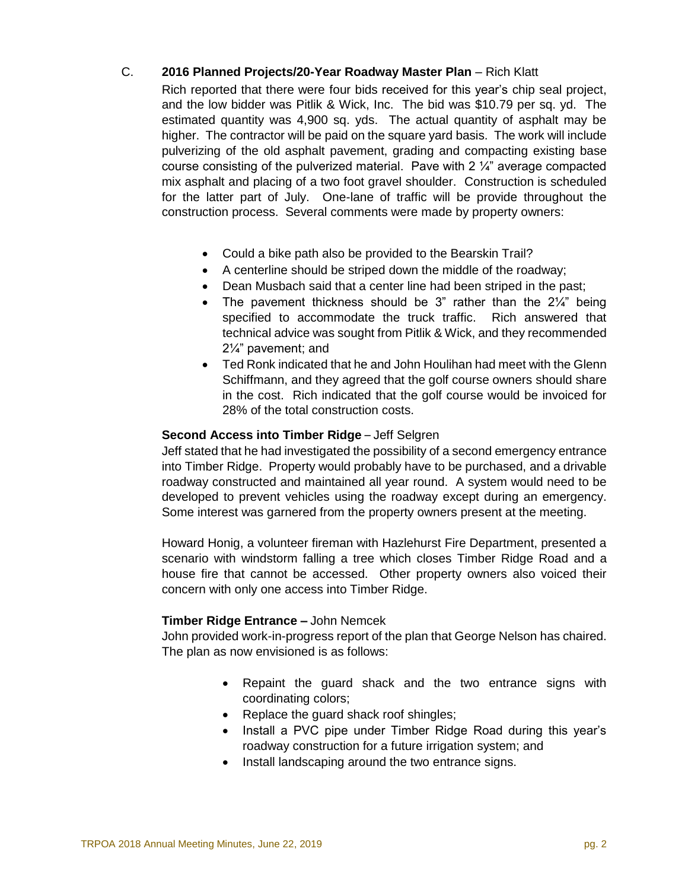## C. **2016 Planned Projects/20-Year Roadway Master Plan** – Rich Klatt

Rich reported that there were four bids received for this year's chip seal project, and the low bidder was Pitlik & Wick, Inc. The bid was \$10.79 per sq. yd. The estimated quantity was 4,900 sq. yds. The actual quantity of asphalt may be higher. The contractor will be paid on the square yard basis. The work will include pulverizing of the old asphalt pavement, grading and compacting existing base course consisting of the pulverized material. Pave with  $2\frac{1}{4}$  average compacted mix asphalt and placing of a two foot gravel shoulder. Construction is scheduled for the latter part of July. One-lane of traffic will be provide throughout the construction process. Several comments were made by property owners:

- Could a bike path also be provided to the Bearskin Trail?
- A centerline should be striped down the middle of the roadway;
- Dean Musbach said that a center line had been striped in the past;
- The pavement thickness should be 3" rather than the  $2\frac{1}{4}$ " being specified to accommodate the truck traffic. Rich answered that technical advice was sought from Pitlik & Wick, and they recommended 2¼" pavement; and
- Ted Ronk indicated that he and John Houlihan had meet with the Glenn Schiffmann, and they agreed that the golf course owners should share in the cost. Rich indicated that the golf course would be invoiced for 28% of the total construction costs.

## **Second Access into Timber Ridge** – Jeff Selgren

Jeff stated that he had investigated the possibility of a second emergency entrance into Timber Ridge. Property would probably have to be purchased, and a drivable roadway constructed and maintained all year round. A system would need to be developed to prevent vehicles using the roadway except during an emergency. Some interest was garnered from the property owners present at the meeting.

Howard Honig, a volunteer fireman with Hazlehurst Fire Department, presented a scenario with windstorm falling a tree which closes Timber Ridge Road and a house fire that cannot be accessed. Other property owners also voiced their concern with only one access into Timber Ridge.

## **Timber Ridge Entrance –** John Nemcek

John provided work-in-progress report of the plan that George Nelson has chaired. The plan as now envisioned is as follows:

- Repaint the guard shack and the two entrance signs with coordinating colors;
- Replace the guard shack roof shingles;
- Install a PVC pipe under Timber Ridge Road during this year's roadway construction for a future irrigation system; and
- Install landscaping around the two entrance signs.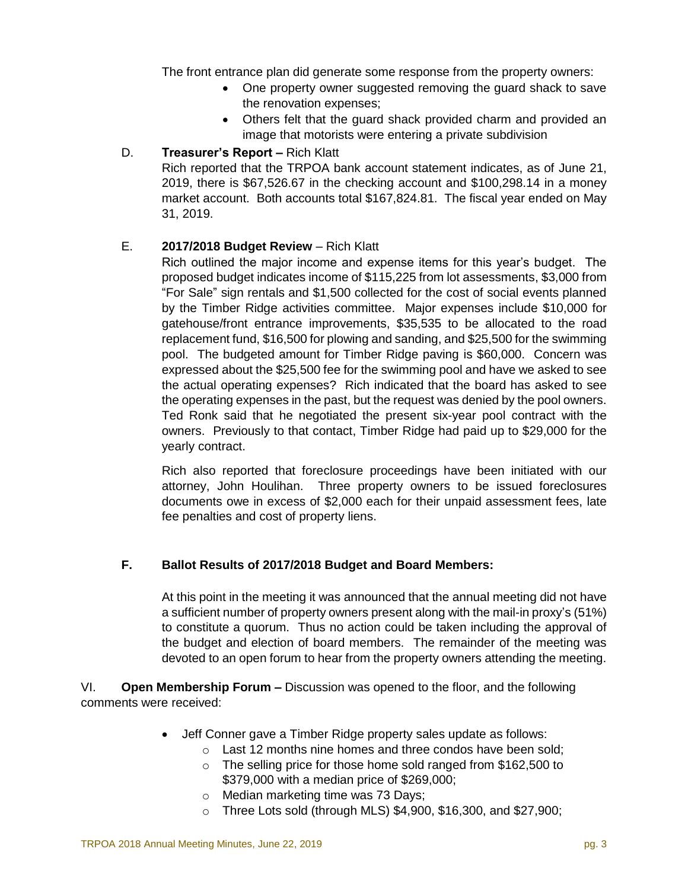The front entrance plan did generate some response from the property owners:

- One property owner suggested removing the guard shack to save the renovation expenses;
- Others felt that the guard shack provided charm and provided an image that motorists were entering a private subdivision

## D. **Treasurer's Report –** Rich Klatt

Rich reported that the TRPOA bank account statement indicates, as of June 21, 2019, there is \$67,526.67 in the checking account and \$100,298.14 in a money market account. Both accounts total \$167,824.81. The fiscal year ended on May 31, 2019.

## E. **2017/2018 Budget Review** – Rich Klatt

Rich outlined the major income and expense items for this year's budget. The proposed budget indicates income of \$115,225 from lot assessments, \$3,000 from "For Sale" sign rentals and \$1,500 collected for the cost of social events planned by the Timber Ridge activities committee. Major expenses include \$10,000 for gatehouse/front entrance improvements, \$35,535 to be allocated to the road replacement fund, \$16,500 for plowing and sanding, and \$25,500 for the swimming pool. The budgeted amount for Timber Ridge paving is \$60,000. Concern was expressed about the \$25,500 fee for the swimming pool and have we asked to see the actual operating expenses? Rich indicated that the board has asked to see the operating expenses in the past, but the request was denied by the pool owners. Ted Ronk said that he negotiated the present six-year pool contract with the owners. Previously to that contact, Timber Ridge had paid up to \$29,000 for the yearly contract.

Rich also reported that foreclosure proceedings have been initiated with our attorney, John Houlihan. Three property owners to be issued foreclosures documents owe in excess of \$2,000 each for their unpaid assessment fees, late fee penalties and cost of property liens.

## **F. Ballot Results of 2017/2018 Budget and Board Members:**

At this point in the meeting it was announced that the annual meeting did not have a sufficient number of property owners present along with the mail-in proxy's (51%) to constitute a quorum. Thus no action could be taken including the approval of the budget and election of board members. The remainder of the meeting was devoted to an open forum to hear from the property owners attending the meeting.

VI. **Open Membership Forum –** Discussion was opened to the floor, and the following comments were received:

- Jeff Conner gave a Timber Ridge property sales update as follows:
	- o Last 12 months nine homes and three condos have been sold;
	- o The selling price for those home sold ranged from \$162,500 to \$379,000 with a median price of \$269,000;
	- o Median marketing time was 73 Days;
	- $\circ$  Three Lots sold (through MLS) \$4,900, \$16,300, and \$27,900;